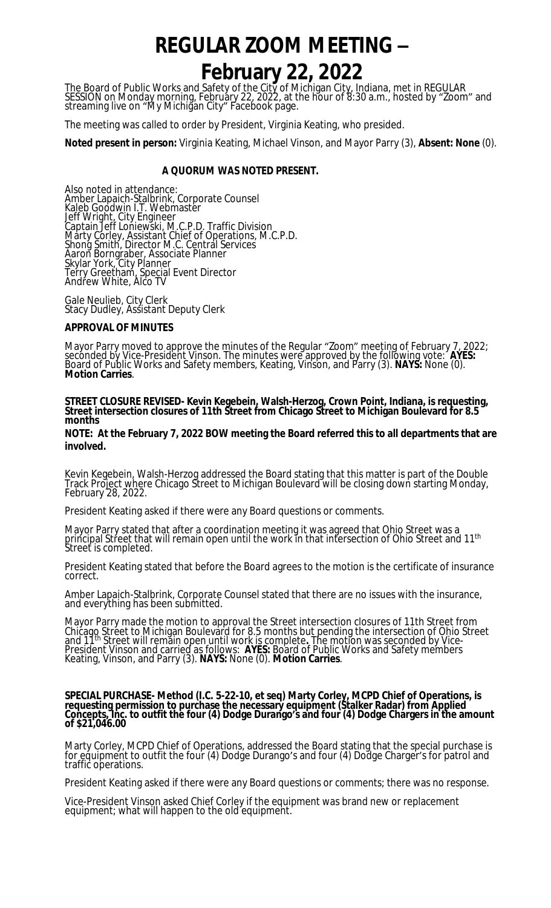# **REGULAR ZOOM MEETING –**

# **February 22, 2022**

The Board of Public Works and Safety of the City of Michigan City, Indiana, met in REGULAR SESSION on Monday morning, February 22, 2022, at the hour of 8:30 a.m., hosted by "Zoom" and streaming live on "My Michigan City" Facebook page.

The meeting was called to order by President, Virginia Keating, who presided.

**Noted present in person:** Virginia Keating, Michael Vinson, and Mayor Parry (3), **Absent: None** (0).

# **A QUORUM WAS NOTED PRESENT.**

Also noted in attendance: Amber Lapaich-Stalbrink, Corporate Counsel Kaleb Goodwin I.T. Webmaster Jeff Wright, City Engineer Captain Jeff Loniewski, M.C.P.D. Traffic Division Marty Corley, Assistant Chief of Operations, M.C.P.D. Shong Smith, Director M.C. Central Services Aaron Borngraber, Associate Planner Skylar York, City Planner Terry Greetham, Special Event Director Andrew White, Alco TV

Gale Neulieb, City Clerk Stacy Dudley, Assistant Deputy Clerk

## **APPROVAL OF MINUTES**

Mayor Parry moved to approve the minutes of the Regular "Zoom" meeting of February 7, 2022; seconded by Vice-President Vinson. The minutes were approved by the following vote: **AYES:**  Board of Public Works and Safety members, Keating, Vinson, and Parry (3). **NAYS:** None (0). **Motion Carries**.

#### **STREET CLOSURE REVISED- Kevin Kegebein, Walsh-Herzog, Crown Point, Indiana, is requesting, Street intersection closures of 11th Street from Chicago Street to Michigan Boulevard for 8.5 months**

**NOTE: At the February 7, 2022 BOW meeting the Board referred this to all departments that are involved.**

Kevin Kegebein, Walsh-Herzog addressed the Board stating that this matter is part of the Double Track Project where Chicago Street to Michigan Boulevard will be closing down starting Monday, February 28, 2022.

President Keating asked if there were any Board questions or comments.

Mayor Parry stated that after a coordination meeting it was agreed that Ohio Street was a principal Street that will remain open until the work in that intersection of Ohio Street and 11<sup>th</sup> Street is completed.

President Keating stated that before the Board agrees to the motion is the certificate of insurance correct.

Amber Lapaich-Stalbrink, Corporate Counsel stated that there are no issues with the insurance, and everything has been submitted.

Mayor Parry made the motion to approval the Street intersection closures of 11th Street from Chicago Stréet to Michigan Boulevard for 8.5 months but pending the intersection of Ohio Street and 11th Street will remain open until work is complete**.** The motion was seconded by Vice-President Vinson and carried as follows: **AYES:** Board of Public Works and Safety members Keating, Vinson, and Parry (3). **NAYS:** None (0). **Motion Carries**.

#### **SPECIAL PURCHASE- Method (I.C. 5-22-10, et seq) Marty Corley, MCPD Chief of Operations, is requesting permission to purchase the necessary equipment (Stalker Radar) from Applied Concepts, Inc. to outfit the four (4) Dodge Durango's and four (4) Dodge Chargers in the amount of \$21,046.00**

Marty Corley, MCPD Chief of Operations, addressed the Board stating that the special purchase is for equipment to outfit the four (4) Dodge Durango's and four (4) Dodge Charger's for patrol and traffic operations.

President Keating asked if there were any Board questions or comments; there was no response.

Vice-President Vinson asked Chief Corley if the equipment was brand new or replacement equipment; what will happen to the old equipment.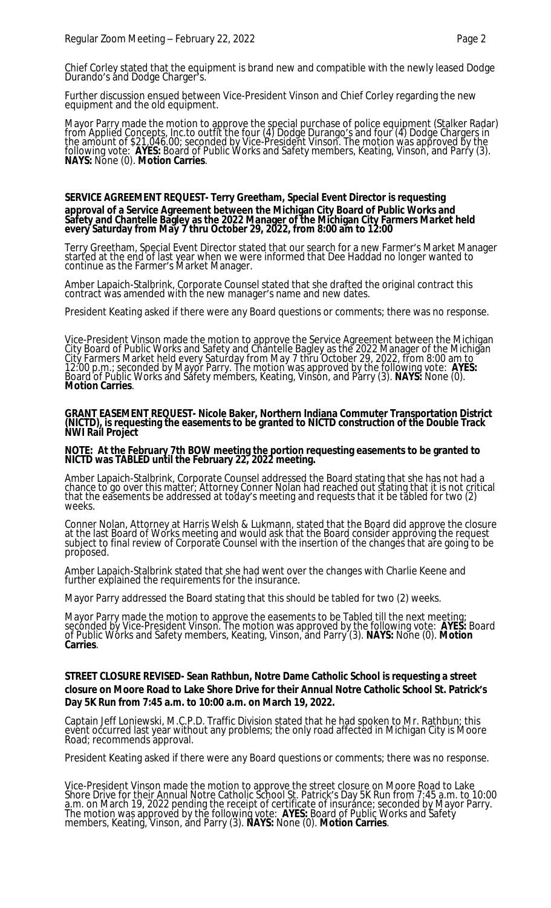Chief Corley stated that the equipment is brand new and compatible with the newly leased Dodge Durando's and Dodge Charger's.

Further discussion ensued between Vice-President Vinson and Chief Corley regarding the new equipment and the old equipment.

Mayor Parry made the motion to approve the special purchase of police equipment (Stalker Radar) from Applied Concepts, Inc.to outfit the four (4) Dodge Durango's and four (4) Dodge Chargers in the amount of \$21,046.00; seconded by Vice-President Vinson. The motion was approved by the following vote: **AYES:** Board of Public Works and Safety members, Keating, Vinson, and Parry (3). **NAYS:** None (0). **Motion Carries**.

#### **SERVICE AGREEMENT REQUEST- Terry Greetham, Special Event Director is requesting approval of a Service Agreement between the Michigan City Board of Public Works and Safety and Chantelle Bagley as the 2022 Manager of the Michigan City Farmers Market held every Saturday from May 7 thru October 29, 2022, from 8:00 am to 12:00**

Terry Greetham, Special Event Director stated that our search for a new Farmer's Market Manager started at the end of last year when we were informed that Dee Haddad no longer wanted to continue as the Farmer's Market Manager.

Amber Lapaich-Stalbrink, Corporate Counsel stated that she drafted the original contract this contract was amended with the new manager's name and new dates.

President Keating asked if there were any Board questions or comments; there was no response.

Vice-President Vinson made the motion to approve the Service Agreement between the Michigan City Board of Public Works and Safety and Chantelle Bagley as the 2022 Manager of the Michigan City Farmers Market held every Saturday from May 7 thru October 29, 2022, from 8:00 am to 12:00 p.m.; seconded by Mayor Parry. The motion was approved by the following vote: **AYES:**  Board of Public Works and Safety members, Keating, Vinson, and Parry (3). **NAYS:** None (0). **Motion Carries**.

**GRANT EASEMENT REQUEST- Nicole Baker, Northern Indiana Commuter Transportation District (NICTD), is requesting the easements to be granted to NICTD construction of the Double Track NWI Rail Project** 

#### **NOTE: At the February 7th BOW meeting the portion requesting easements to be granted to NICTD was TABLED until the February 22, 2022 meeting.**

Amber Lapaich-Stalbrink, Corporate Counsel addressed the Board stating that she has not had a chance to go over this matter; Attorney Conner Nolan had reached out stating that it is not critical that the easements be addressed at today's meeting and requests that it be tabled for two (2) weeks.

Conner Nolan, Attorney at Harris Welsh & Lukmann, stated that the Board did approve the closure at the last Board of Works meeting and would ask that the Board consider approving the request subject to final review of Corporate Counsel with the insertion of the changes that are going to be proposed.

Amber Lapaich-Stalbrink stated that she had went over the changes with Charlie Keene and further explained the requirements for the insurance.

Mayor Parry addressed the Board stating that this should be tabled for two (2) weeks.

Mayor Parry made the motion to approve the easements to be Tabled till the next meeting; seconded by Vice-President Vinson. The motion was approved by the following vote: **AYES:** Board of Public Wórks and Safety members, Keating, Vinson, and Parry (3). **NAYS:** None (0). **Motion Carries**.

# **STREET CLOSURE REVISED- Sean Rathbun, Notre Dame Catholic School is requesting a street closure on Moore Road to Lake Shore Drive for their Annual Notre Catholic School St. Patrick's Day 5K Run from 7:45 a.m. to 10:00 a.m. on March 19, 2022.**

Captain Jeff Loniewski, M.C.P.D. Traffic Division stated that he had spoken to Mr. Rathbun; this event occurred last year without any problems; the only road affected in Michigan City is Moore Road; recommends approval.

President Keating asked if there were any Board questions or comments; there was no response.

Vice-President Vinson made the motion to approve the street closure on Moore Road to Lake Shore Drive for their Annual Notre Catholic School St. Patrick's Day 5K Run from 7:45 a.m. to 10:00 a.m. on March 19, 2022 pending the receipt of certificate of insurance; seconded by Mayor Parry. The motion was approved by the following vote: **AYES:** Board of Public Works and Safety members, Keating, Vinson, and Parry (3). **NAYS:** None (0). **Motion Carries**.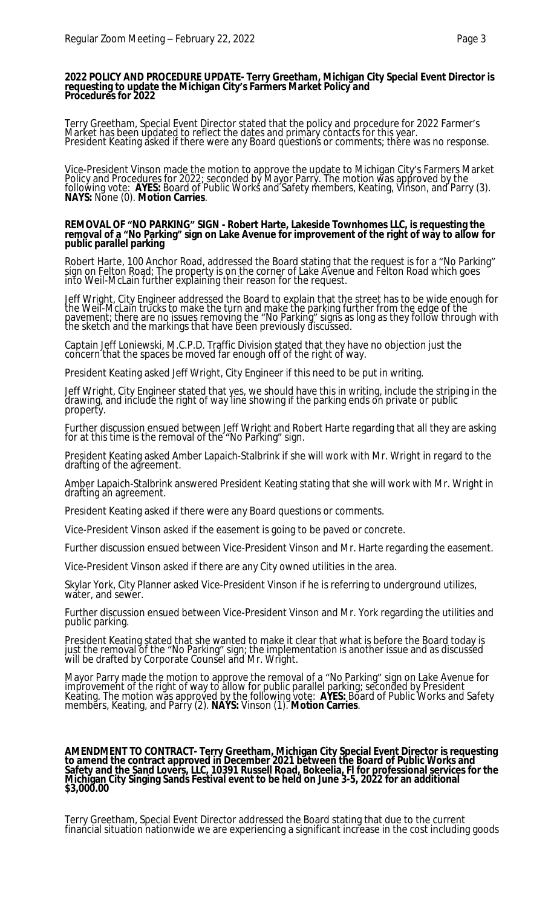#### **2022 POLICY AND PROCEDURE UPDATE- Terry Greetham, Michigan City Special Event Director is requesting to update the Michigan City's Farmers Market Policy and Procedures for 2022**

Terry Greetham, Special Event Director stated that the policy and procedure for 2022 Farmer's Market has been updated to reflect the dates and primary contacts for this year. President Keating asked if there were any Board questions or comments; there was no response.

Vice-President Vinson made the motion to approve the update to Michigan City's Farmers Market Policy and Procedures for 2022; seconded by Mayor Parry. The motion was approved by the following vote: **AYES:** Board of Public Works and Safety members, Keating, Vinson, and Parry (3). **NAYS:** None (0). **Motion Carries**.

#### **REMOVAL OF "NO PARKING" SIGN - Robert Harte, Lakeside Townhomes LLC, is requesting the removal of a "No Parking" sign on Lake Avenue for improvement of the right of way to allow for public parallel parking**

Robert Harte, 100 Anchor Road, addressed the Board stating that the request is for a "No Parking" sign on Felton Road; The property is on the corner of Lake Avenue and Felton Road which goes into Weil-McLain further explaining their reason for the request.

Jeff Wright, City Engineer addressed the Board to explain that the street has to be wide enough for the Weil-McLain trucks to make the turn and make the parking further from the edge of the pavement; there are no issues removing the "No Parking" signs as long as they follow through with the sketch and the markings that have been previously discussed.

Captain Jeff Loniewski, M.C.P.D. Traffic Division stated that they have no objection just the concern that the spaces be moved far enough off of the right of way.

President Keating asked Jeff Wright, City Engineer if this need to be put in writing.

Jeff Wright, City Engineer stated that yes, we should have this in writing, include the striping in the drawing, and include the right of way line showing if the parking ends on private or public property.

Further discussion ensued between Jeff Wright and Robert Harte regarding that all they are asking for at this time is the removal of the "No Parking" sign.

President Keating asked Amber Lapaich-Stalbrink if she will work with Mr. Wright in regard to the drafting of the agreement.

Amber Lapaich-Stalbrink answered President Keating stating that she will work with Mr. Wright in drafting an agreement.

President Keating asked if there were any Board questions or comments.

Vice-President Vinson asked if the easement is going to be paved or concrete.

Further discussion ensued between Vice-President Vinson and Mr. Harte regarding the easement.

Vice-President Vinson asked if there are any City owned utilities in the area.

Skylar York, City Planner asked Vice-President Vinson if he is referring to underground utilizes, water, and sewer.

Further discussion ensued between Vice-President Vinson and Mr. York regarding the utilities and public parking.

President Keating stated that she wanted to make it clear that what is before the Board today is just the removal of the "No Parking" sign; the implementation is another issue and as discussed will be drafted by Corporate Counšel and Mr. Wright.

Mayor Parry made the motion to approve the removal of a "No Parking" sign on Lake Avenue for improvement of the right of way to allow for public parallel parking; seconded by President Keating. The motion was approved by the following vote: **AYES:** Board of Public Works and Safety members, Keating, and Parry (2). **NAYS:** Vinson (1). **Motion Carries**.

#### **AMENDMENT TO CONTRACT- Terry Greetham, Michigan City Special Event Director is requesting to amend the contract approved in December 2021 between the Board of Public Works and Safety and the Sand Lovers, LLC, 10391 Russell Road, Bokeelia, Fl for professional services for the Michigan City Singing Sands Festival event to be held on June 3-5, 2022 for an additional \$3,000.00**

Terry Greetham, Special Event Director addressed the Board stating that due to the current financial situation nationwide we are experiencing a significant increase in the cost including goods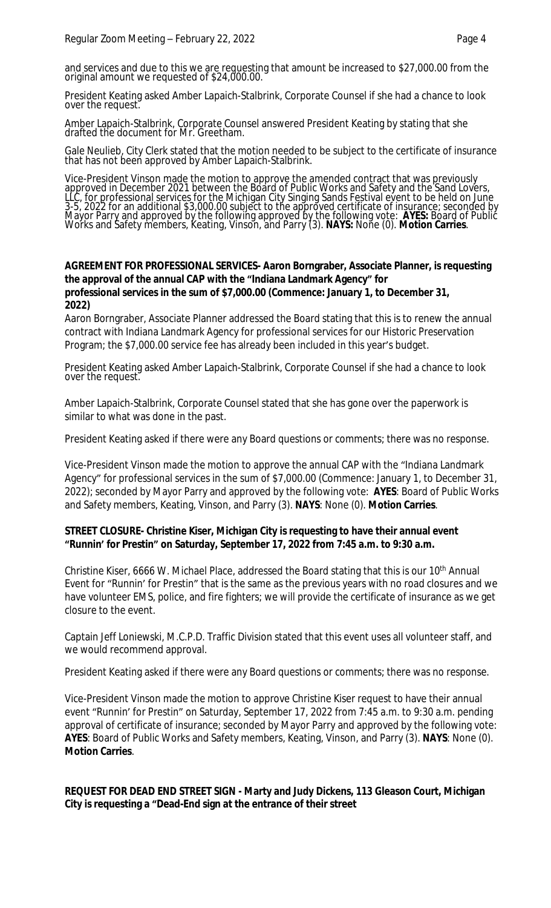and services and due to this we are requesting that amount be increased to \$27,000.00 from the original amount we requested of \$24,000.00.

President Keating asked Amber Lapaich-Stalbrink, Corporate Counsel if she had a chance to look over the request.

Amber Lapaich-Stalbrink, Corporate Counsel answered President Keating by stating that she drafted the document for Mr. Greetham.

Gale Neulieb, City Clerk stated that the motion needed to be subject to the certificate of insurance that has not been approved by Amber Lapaich-Stalbrink.

Vice-President Vinson made the motion to approve the amended contract that was previously approved in December 2021 between the Board of Public Works and Safety and the Sand Lovers, LLC, for professional services for the Michigan City Singing Sands Festival event to be held on June 3-5, 2022 for an additional \$3,000.00 subject to the approved certificate of insurance; seconded by Mayor Parry and approved by the following approved by the following vote: **AYES:** Board of Public Works and Safety members, Keating, Vinson, and Parry (3). **NAYS:** None (0). **Motion Carries**.

# **AGREEMENT FOR PROFESSIONAL SERVICES- Aaron Borngraber, Associate Planner, is requesting the approval of the annual CAP with the "Indiana Landmark Agency" for professional services in the sum of \$7,000.00 (Commence: January 1, to December 31, 2022)**

Aaron Borngraber, Associate Planner addressed the Board stating that this is to renew the annual contract with Indiana Landmark Agency for professional services for our Historic Preservation Program; the \$7,000.00 service fee has already been included in this year's budget.

President Keating asked Amber Lapaich-Stalbrink, Corporate Counsel if she had a chance to look over the request.

Amber Lapaich-Stalbrink, Corporate Counsel stated that she has gone over the paperwork is similar to what was done in the past.

President Keating asked if there were any Board questions or comments; there was no response.

Vice-President Vinson made the motion to approve the annual CAP with the "Indiana Landmark Agency" for professional services in the sum of \$7,000.00 (Commence: January 1, to December 31, 2022); seconded by Mayor Parry and approved by the following vote: **AYES**: Board of Public Works and Safety members, Keating, Vinson, and Parry (3). **NAYS**: None (0). **Motion Carries**.

# **STREET CLOSURE- Christine Kiser, Michigan City is requesting to have their annual event "Runnin' for Prestin" on Saturday, September 17, 2022 from 7:45 a.m. to 9:30 a.m.**

Christine Kiser, 6666 W. Michael Place, addressed the Board stating that this is our 10th Annual Event for "Runnin' for Prestin" that is the same as the previous years with no road closures and we have volunteer EMS, police, and fire fighters; we will provide the certificate of insurance as we get closure to the event.

Captain Jeff Loniewski, M.C.P.D. Traffic Division stated that this event uses all volunteer staff, and we would recommend approval.

President Keating asked if there were any Board questions or comments; there was no response.

Vice-President Vinson made the motion to approve Christine Kiser request to have their annual event "Runnin' for Prestin" on Saturday, September 17, 2022 from 7:45 a.m. to 9:30 a.m. pending approval of certificate of insurance; seconded by Mayor Parry and approved by the following vote: **AYES**: Board of Public Works and Safety members, Keating, Vinson, and Parry (3). **NAYS**: None (0). **Motion Carries**.

**REQUEST FOR DEAD END STREET SIGN - Marty and Judy Dickens, 113 Gleason Court, Michigan City is requesting a "Dead-End sign at the entrance of their street**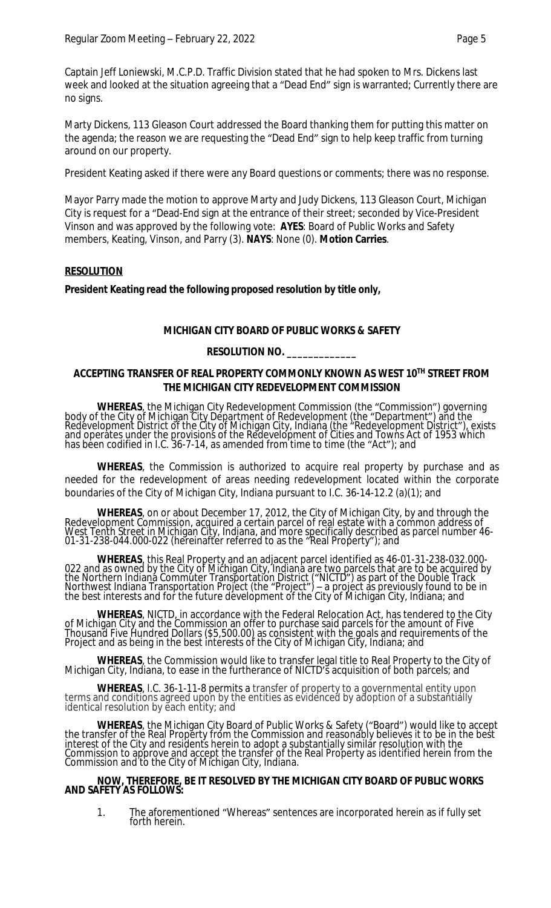Captain Jeff Loniewski, M.C.P.D. Traffic Division stated that he had spoken to Mrs. Dickens last week and looked at the situation agreeing that a "Dead End" sign is warranted; Currently there are no signs.

Marty Dickens, 113 Gleason Court addressed the Board thanking them for putting this matter on the agenda; the reason we are requesting the "Dead End" sign to help keep traffic from turning around on our property.

President Keating asked if there were any Board questions or comments; there was no response.

Mayor Parry made the motion to approve Marty and Judy Dickens, 113 Gleason Court, Michigan City is request for a "Dead-End sign at the entrance of their street; seconded by Vice-President Vinson and was approved by the following vote: **AYES**: Board of Public Works and Safety members, Keating, Vinson, and Parry (3). **NAYS**: None (0). **Motion Carries**.

# **RESOLUTION**

**President Keating read the following proposed resolution by title only,**

# **MICHIGAN CITY BOARD OF PUBLIC WORKS & SAFETY**

# **RESOLUTION NO. \_\_\_\_\_\_\_\_\_\_\_\_\_**

# **ACCEPTING TRANSFER OF REAL PROPERTY COMMONLY KNOWN AS WEST 10TH STREET FROM THE MICHIGAN CITY REDEVELOPMENT COMMISSION**

**WHEREAS**, the Michigan City Redevelopment Commission (the "Commission") governing body of the City of Michigan City Department of Redevelopment (the "Department") and the Redevelopment District of the City of Michigan City, Indiana (the "Redevelopment District"), exists and operates under the provisions of the Redevelopment of Cities and Towns Act of 1953 which has been codified in I.C. 36-7-14, as amended from time to time (the "Act"); and

**WHEREAS**, the Commission is authorized to acquire real property by purchase and as needed for the redevelopment of areas needing redevelopment located within the corporate boundaries of the City of Michigan City, Indiana pursuant to I.C. 36-14-12.2 (a)(1); and

**WHEREAS**, on or about December 17, 2012, the City of Michigan City, by and through the Redevelopment Commission, acquired a certain parcel of real estate with a common address of West Tenth Street in Michigan City, Indiana, and more specifically described as parcel number 46- 01-31-238-044.000-022 (hereinafter referred to as the "Real Property"); and

**WHEREAS**, this Real Property and an adjacent parcel identified as 46-01-31-238-032.000- 022 and as owned by the City of Michigan City, Indiana are two parcels that are to be acquired by the Northern Indiană Commuter Transportation District ("NICTD") as part of the Double Track Northwest Indiana Transportation Project (the "Project") – a project as previously found to be in the best interests and for the future development of the City of Michigan City, Indiana; and

**WHEREAS**, NICTD, in accordance with the Federal Relocation Act, has tendered to the City of Michigan City and the Commission an offer to purchase said parcels for the amount of Five Thousand Five Hundred Dollars (\$5,500.00) as consistent with the goals and requirements of the Project and as being in the best interests of the City of Michigan City, Indiana; and

**WHEREAS**, the Commission would like to transfer legal title to Real Property to the City of Michigan City, Indiana, to ease in the furtherance of NICTD's acquisition of both parcels; and

**WHEREAS**, I.C. 36-1-11-8 permits a transfer of property to a governmental entity upon terms and conditions agreed upon by the entities as evidenced by adoption of a substantially identical resolution by each entity; and

**WHEREAS**, the Michigan City Board of Public Works & Safety ("Board") would like to accept the transfer of the Real Property from the Commission and reasonably believes it to be in the best interest of the City and residents herein to adopt a substantially similar resolution with the Commission to approve and accept the transfer of the Real Property as identified herein from the Commission and to the City of Michigan City, Indiana.

#### **NOW, THEREFORE, BE IT RESOLVED BY THE MICHIGAN CITY BOARD OF PUBLIC WORKS AND SAFETY AS FOLLOWS:**

1. The aforementioned "Whereas" sentences are incorporated herein as if fully set forth herein.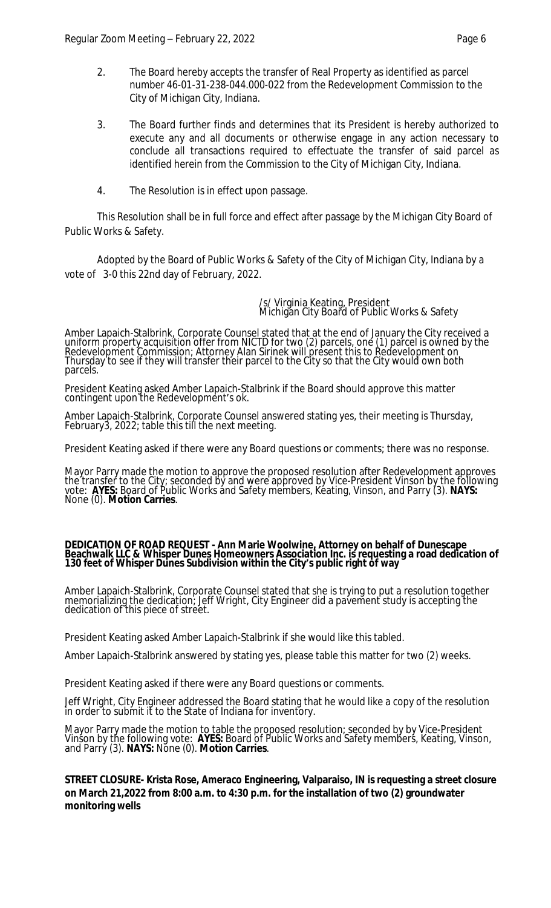- 2. The Board hereby accepts the transfer of Real Property as identified as parcel number 46-01-31-238-044.000-022 from the Redevelopment Commission to the City of Michigan City, Indiana.
- 3. The Board further finds and determines that its President is hereby authorized to execute any and all documents or otherwise engage in any action necessary to conclude all transactions required to effectuate the transfer of said parcel as identified herein from the Commission to the City of Michigan City, Indiana.
- 4. The Resolution is in effect upon passage.

This Resolution shall be in full force and effect after passage by the Michigan City Board of Public Works & Safety.

Adopted by the Board of Public Works & Safety of the City of Michigan City, Indiana by a vote of 3-0 this 22nd day of February, 2022.

> /s/ Virginia Keating, President Michigan City Board of Public Works & Safety

Amber Lapaich-Stalbrink, Corporate Counsel stated that at the end of January the City received a uniform property acquisition offer from NICTD for two (2) parcels, one (1) parcel is owned by the Redevelopment Commission; Attorney Alan Sirinek will present this to Redevelopment on Thursday to see if they will transfer their parcel to the City so that the City would own both parcels.

President Keating asked Amber Lapaich-Stalbrink if the Board should approve this matter contingent upon the Redevelopment's ok.

Amber Lapaich-Stalbrink, Corporate Counsel answered stating yes, their meeting is Thursday, February3, 2022; table this till the next meeting.

President Keating asked if there were any Board questions or comments; there was no response.

Mayor Parry made the motion to approve the proposed resolution after Redevelopment approves the transfer to the City; seconded by and were approved by Vice-President Vinson by the following vote: **AYES:** Board of Public Works and Safety members, Keating, Vinson, and Parry (3). **NAYS:** None (0). **Motion Carries**.

#### **DEDICATION OF ROAD REQUEST - Ann Marie Woolwine, Attorney on behalf of Dunescape Beachwalk LLC & Whisper Dunes Homeowners Association Inc. is requesting a road dedication of 130 feet of Whisper Dunes Subdivision within the City's public right of way**

Amber Lapaich-Stalbrink, Corporate Counsel stated that she is trying to put a resolution together memorializing the dedication; Jeff Wright, City Engineer did a pavement study is accepting the dedication of this piece of street.

President Keating asked Amber Lapaich-Stalbrink if she would like this tabled.

Amber Lapaich-Stalbrink answered by stating yes, please table this matter for two (2) weeks.

President Keating asked if there were any Board questions or comments.

Jeff Wright, City Engineer addressed the Board stating that he would like a copy of the resolution in order to submit it to the State of Indiana for inventory.

Mayor Parry made the motion to table the proposed resolution; seconded by by Vice-President Vinson by the following vote: **AYES:** Board of Public Works and Safety members, Keating, Vinson, and Parry (3). **NAYS:** None (0). **Motion Carries**.

**STREET CLOSURE- Krista Rose, Ameraco Engineering, Valparaiso, IN is requesting a street closure on March 21,2022 from 8:00 a.m. to 4:30 p.m. for the installation of two (2) groundwater monitoring wells**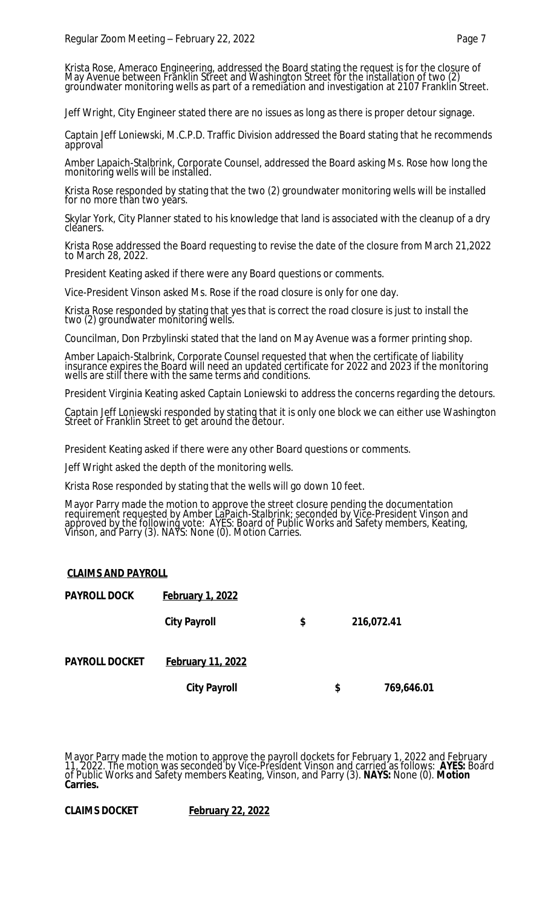Krista Rose, Ameraco Engineering, addressed the Board stating the request is for the closure of May Avenue between Franklin Street and Washington Street for the installation of two (2) groundwater monitoring wells as part of a remediation and investigation at 2107 Franklin Street.

Jeff Wright, City Engineer stated there are no issues as long as there is proper detour signage.

Captain Jeff Loniewski, M.C.P.D. Traffic Division addressed the Board stating that he recommends approval

Amber Lapaich-Stalbrink, Corporate Counsel, addressed the Board asking Ms. Rose how long the monitoring wells will be installed.

Krista Rose responded by stating that the two (2) groundwater monitoring wells will be installed for no more than two years.

Skylar York, City Planner stated to his knowledge that land is associated with the cleanup of a dry cleaners.

Krista Rose addressed the Board requesting to revise the date of the closure from March 21,2022 to March 28, 2022.

President Keating asked if there were any Board questions or comments.

Vice-President Vinson asked Ms. Rose if the road closure is only for one day.

Krista Rose responded by stating that yes that is correct the road closure is just to install the two (2) groundwater monitoring wells.

Councilman, Don Przbylinski stated that the land on May Avenue was a former printing shop.

Amber Lapaich-Stalbrink, Corporate Counsel requested that when the certificate of liability insurance expires the Board will need an updated certificate for 2022 and 2023 if the monitoring wells are still there with the same terms and conditions.

President Virginia Keating asked Captain Loniewski to address the concerns regarding the detours.

Captain Jeff Loniewski responded by stating that it is only one block we can either use Washington Street or Franklin Street to get around the detour.

President Keating asked if there were any other Board questions or comments.

Jeff Wright asked the depth of the monitoring wells.

Krista Rose responded by stating that the wells will go down 10 feet.

Mayor Parry made the motion to approve the street closure pending the documentation requirement requested by Amber LaPaich-Stalbrink; seconded by Vice-President Vinson and approved by the following vote: AYES: Board of Public Works and Safety members, Keating, Vinson, and Parry (3). NAYS: None (0). Motion Carries.

# **CLAIMS AND PAYROLL**

| <b>PAYROLL DOCK</b>   | <b>February 1, 2022</b>  |    |                  |  |  |  |
|-----------------------|--------------------------|----|------------------|--|--|--|
|                       | <b>City Payroll</b>      | \$ | 216,072.41       |  |  |  |
| <b>PAYROLL DOCKET</b> | <b>February 11, 2022</b> |    |                  |  |  |  |
|                       | <b>City Payroll</b>      |    | \$<br>769,646.01 |  |  |  |

Mayor Parry made the motion to approve the payroll dockets for February 1, 2022 and February 11, 2022. The motion was seconded by Vice-President Vinson and carried as follows: **AYES:** Board of Public Works and Safety members Keating, Vinson, and Parry (3). **NAYS:** None (0). **Motion Carries.**

**CLAIMS DOCKET February 22, 2022**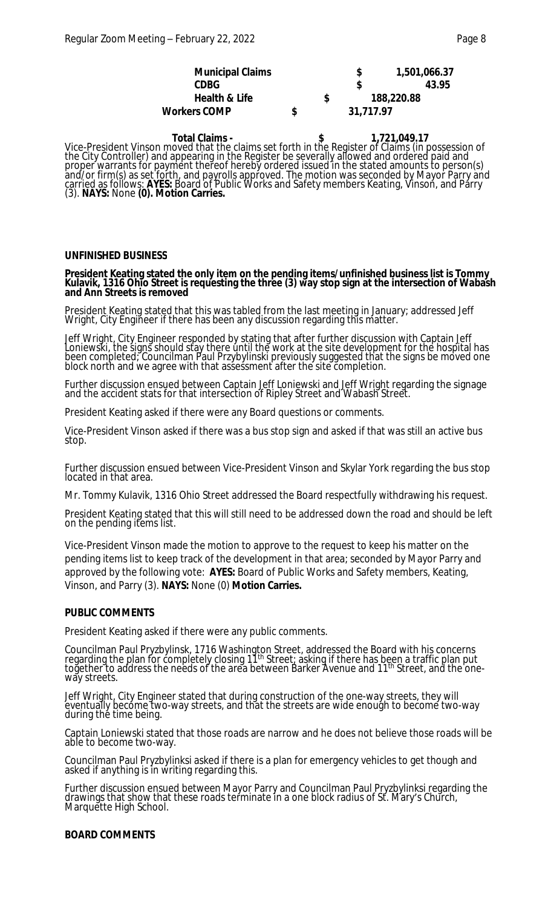| <b>Municipal Claims</b>  |   |            | 1,501,066.37 |
|--------------------------|---|------------|--------------|
| <b>CDBG</b>              |   |            | 43.95        |
| <b>Health &amp; Life</b> |   | 188,220.88 |              |
| <b>Workers COMP</b>      | S | 31,717.97  |              |

 **Total Claims - \$ 1,721,049.17** Vice-President Vinson moved that the claims set forth in the Register of Claims (in possession of the City Controller) and appearing in the Register be severally allowed and ordered paid and proper warrants for payment thereof hereby ordered issued in the stated amounts to person(s) and/or firm(s) as set forth, and payrolls approved. The motion was seconded by Mayor Parry and carried as follows: **AYES:** Board of Public Works and Safety members Keating, Vinson, and Parry (3). **NAYS:** None **(0). Motion Carries.**

# **UNFINISHED BUSINESS**

#### **President Keating stated the only item on the pending items/unfinished business list is Tommy Kulavik, 1316 Ohio Street is requesting the three (3) way stop sign at the intersection of Wabash and Ann Streets is removed**

President Keating stated that this was tabled from the last meeting in January; addressed Jeff Wright, City Engineer if there has been any discussion regarding this matter.

Jeff Wright, City Engineer responded by stating that after further discussion with Captain Jeff Loniewski, the signs should stay there until the work at the site development for the hospital has been completed; Councilman Paul Przybylinski previously suggested that the signs be moved one block north and we agree with that asšešsment after the site completion.

Further discussion ensued between Captain Jeff Loniewski and Jeff Wright regarding the signage and the accident stats for that intersection of Ripley Street and Wabash Street.

President Keating asked if there were any Board questions or comments.

Vice-President Vinson asked if there was a bus stop sign and asked if that was still an active bus stop.

Further discussion ensued between Vice-President Vinson and Skylar York regarding the bus stop located in that area.

Mr. Tommy Kulavik, 1316 Ohio Street addressed the Board respectfully withdrawing his request.

President Keating stated that this will still need to be addressed down the road and should be left on the pending items list.

Vice-President Vinson made the motion to approve to the request to keep his matter on the pending items list to keep track of the development in that area; seconded by Mayor Parry and approved by the following vote: **AYES:** Board of Public Works and Safety members, Keating, Vinson, and Parry (3). **NAYS:** None (0) **Motion Carries.**

#### **PUBLIC COMMENTS**

President Keating asked if there were any public comments.

Councilman Paul Pryzbylinsk, 1716 Washington Street, addressed the Board with his concerns regarding the plan for completely closing 11th Street; asking if there has been a traffic plan put toğether to address the needs of the area between Barker Avenue and 11<sup>th</sup> Street, and the oneway streets.

Jeff Wright, City Engineer stated that during construction of the one-way streets, they will eventually become two-way streets, and that the streets are wide enough to become two-way during thé time being.

Captain Loniewski stated that those roads are narrow and he does not believe those roads will be able to become two-way.

Councilman Paul Pryzbylinksi asked if there is a plan for emergency vehicles to get though and asked if anything is in writing regarding this.

Further discussion ensued between Mayor Parry and Councilman Paul Pryzbylinksi regarding the drawings that show that these roads terminate in a one block radius of St. Mary's Church, Marquette High School.

#### **BOARD COMMENTS**